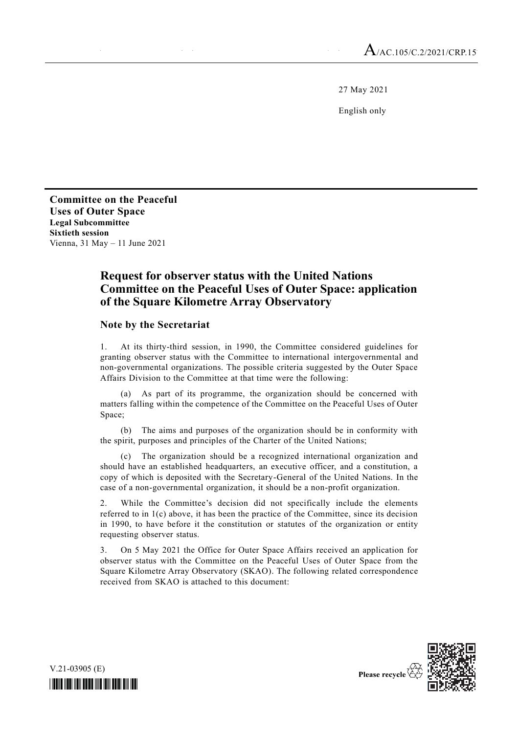27 May 2021

English only

**Committee on the Peaceful Uses of Outer Space Legal Subcommittee Sixtieth session** Vienna, 31 May – 11 June 2021

# **Request for observer status with the United Nations Committee on the Peaceful Uses of Outer Space: application of the Square Kilometre Array Observatory**

#### **Note by the Secretariat**

1. At its thirty-third session, in 1990, the Committee considered guidelines for granting observer status with the Committee to international intergovernmental and non-governmental organizations. The possible criteria suggested by the Outer Space Affairs Division to the Committee at that time were the following:

(a) As part of its programme, the organization should be concerned with matters falling within the competence of the Committee on the Peaceful Uses of Outer Space;

(b) The aims and purposes of the organization should be in conformity with the spirit, purposes and principles of the Charter of the United Nations;

The organization should be a recognized international organization and should have an established headquarters, an executive officer, and a constitution, a copy of which is deposited with the Secretary-General of the United Nations. In the case of a non-governmental organization, it should be a non-profit organization.

2. While the Committee's decision did not specifically include the elements referred to in 1(c) above, it has been the practice of the Committee, since its decision in 1990, to have before it the constitution or statutes of the organization or entity requesting observer status.

3. On 5 May 2021 the Office for Outer Space Affairs received an application for observer status with the Committee on the Peaceful Uses of Outer Space from the Square Kilometre Array Observatory (SKAO). The following related correspondence received from SKAO is attached to this document:





Please recycle<sup>7</sup>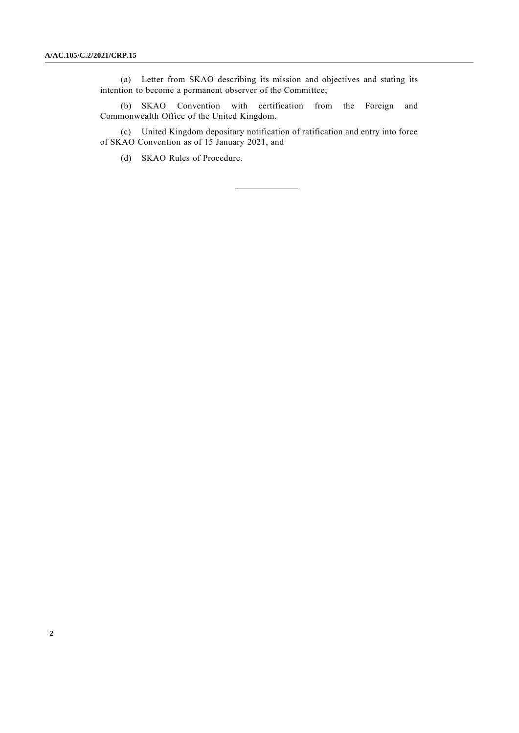(a) Letter from SKAO describing its mission and objectives and stating its intention to become a permanent observer of the Committee;

(b) SKAO Convention with certification from the Foreign and Commonwealth Office of the United Kingdom.

(c) United Kingdom depositary notification of ratification and entry into force of SKAO Convention as of 15 January 2021, and

(d) SKAO Rules of Procedure.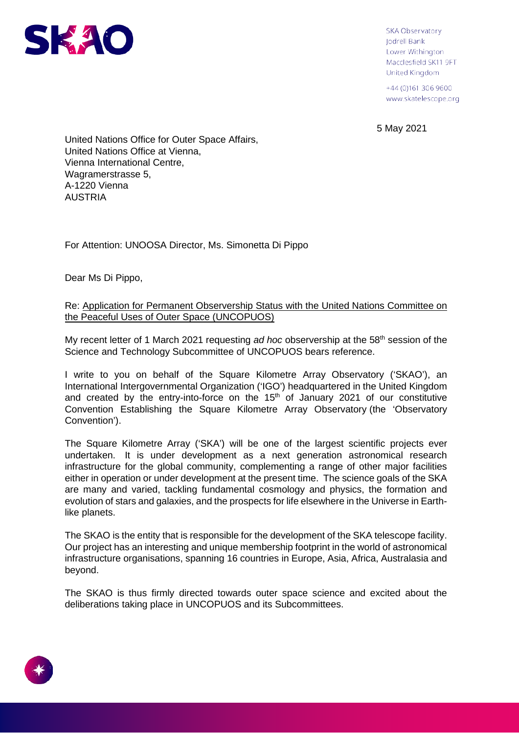

**SKA Observatory** Jodrell Bank Lower Withington Macclesfield SK11 9FT United Kingdom

+44 (0) 161 306 9600 www.skatelescope.org

5 May 2021

United Nations Office for Outer Space Affairs, United Nations Office at Vienna, Vienna International Centre, Wagramerstrasse 5, A-1220 Vienna **AUSTRIA** 

For Attention: UNOOSA Director, Ms. Simonetta Di Pippo

Dear Ms Di Pippo,

# Re: Application for Permanent Observership Status with the United Nations Committee on the Peaceful Uses of Outer Space (UNCOPUOS)

My recent letter of 1 March 2021 requesting *ad hoc* observership at the 58th session of the Science and Technology Subcommittee of UNCOPUOS bears reference.

I write to you on behalf of the Square Kilometre Array Observatory ('SKAO'), an International Intergovernmental Organization ('IGO') headquartered in the United Kingdom and created by the entry-into-force on the  $15<sup>th</sup>$  of January 2021 of our constitutive Convention Establishing the Square Kilometre Array Observatory (the 'Observatory Convention').

The Square Kilometre Array ('SKA') will be one of the largest scientific projects ever undertaken. It is under development as a next generation astronomical research infrastructure for the global community, complementing a range of other major facilities either in operation or under development at the present time. The science goals of the SKA are many and varied, tackling fundamental cosmology and physics, the formation and evolution of stars and galaxies, and the prospects for life elsewhere in the Universe in Earthlike planets.

The SKAO is the entity that is responsible for the development of the SKA telescope facility. Our project has an interesting and unique membership footprint in the world of astronomical infrastructure organisations, spanning 16 countries in Europe, Asia, Africa, Australasia and beyond.

The SKAO is thus firmly directed towards outer space science and excited about the deliberations taking place in UNCOPUOS and its Subcommittees.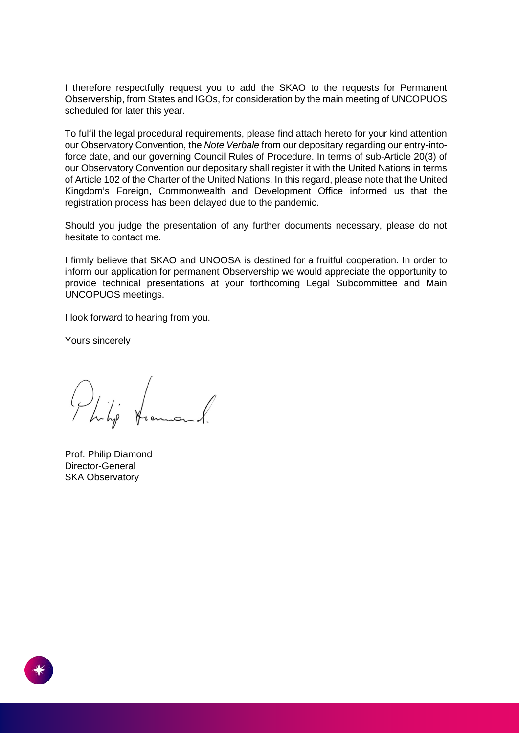I therefore respectfully request you to add the SKAO to the requests for Permanent Observership, from States and IGOs, for consideration by the main meeting of UNCOPUOS scheduled for later this year.

To fulfil the legal procedural requirements, please find attach hereto for your kind attention our Observatory Convention, the *Note Verbale* from our depositary regarding our entry-intoforce date, and our governing Council Rules of Procedure. In terms of sub-Article 20(3) of our Observatory Convention our depositary shall register it with the United Nations in terms of Article 102 of the Charter of the United Nations. In this regard, please note that the United Kingdom's Foreign, Commonwealth and Development Office informed us that the registration process has been delayed due to the pandemic.

Should you judge the presentation of any further documents necessary, please do not hesitate to contact me.

I firmly believe that SKAO and UNOOSA is destined for a fruitful cooperation. In order to inform our application for permanent Observership we would appreciate the opportunity to provide technical presentations at your forthcoming Legal Subcommittee and Main UNCOPUOS meetings.

I look forward to hearing from you.

Yours sincerely

Philip transand.

Prof. Philip Diamond Director-General SKA Observatory

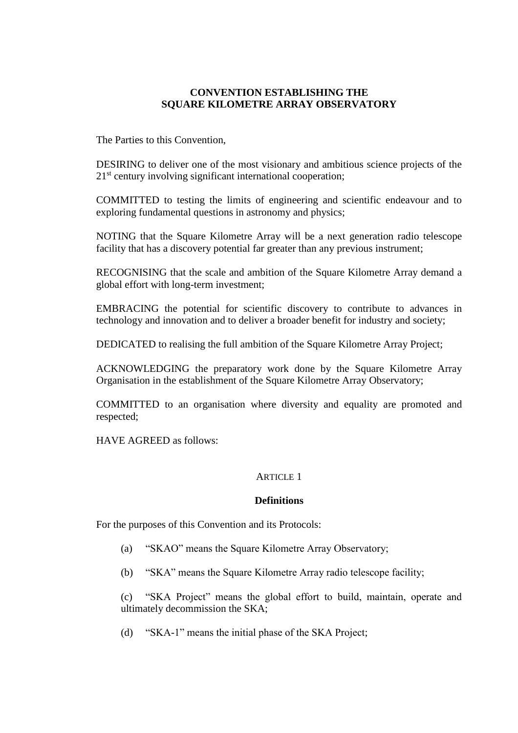# **CONVENTION ESTABLISHING THE SQUARE KILOMETRE ARRAY OBSERVATORY**

The Parties to this Convention,

DESIRING to deliver one of the most visionary and ambitious science projects of the  $21<sup>st</sup>$  century involving significant international cooperation;

COMMITTED to testing the limits of engineering and scientific endeavour and to exploring fundamental questions in astronomy and physics;

NOTING that the Square Kilometre Array will be a next generation radio telescope facility that has a discovery potential far greater than any previous instrument;

RECOGNISING that the scale and ambition of the Square Kilometre Array demand a global effort with long-term investment;

EMBRACING the potential for scientific discovery to contribute to advances in technology and innovation and to deliver a broader benefit for industry and society;

DEDICATED to realising the full ambition of the Square Kilometre Array Project;

ACKNOWLEDGING the preparatory work done by the Square Kilometre Array Organisation in the establishment of the Square Kilometre Array Observatory;

COMMITTED to an organisation where diversity and equality are promoted and respected;

HAVE AGREED as follows:

#### ARTICLE 1

#### **Definitions**

For the purposes of this Convention and its Protocols:

- (a) "SKAO" means the Square Kilometre Array Observatory;
- (b) "SKA" means the Square Kilometre Array radio telescope facility;

(c) "SKA Project" means the global effort to build, maintain, operate and ultimately decommission the SKA;

(d) "SKA-1" means the initial phase of the SKA Project;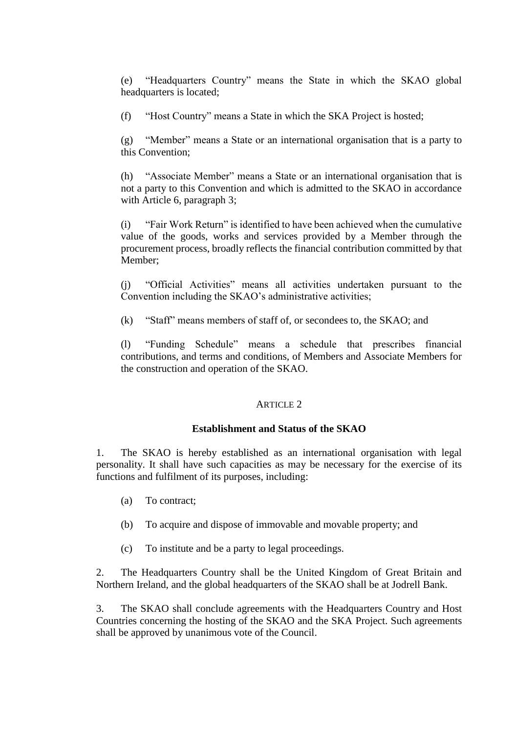(e) "Headquarters Country" means the State in which the SKAO global headquarters is located;

(f) "Host Country" means a State in which the SKA Project is hosted;

(g) "Member" means a State or an international organisation that is a party to this Convention;

(h) "Associate Member" means a State or an international organisation that is not a party to this Convention and which is admitted to the SKAO in accordance with Article 6, paragraph 3;

(i) "Fair Work Return" is identified to have been achieved when the cumulative value of the goods, works and services provided by a Member through the procurement process, broadly reflects the financial contribution committed by that Member;

(j) "Official Activities" means all activities undertaken pursuant to the Convention including the SKAO's administrative activities;

(k) "Staff" means members of staff of, or secondees to, the SKAO; and

(l) "Funding Schedule" means a schedule that prescribes financial contributions, and terms and conditions, of Members and Associate Members for the construction and operation of the SKAO.

# ARTICLE 2

## **Establishment and Status of the SKAO**

1. The SKAO is hereby established as an international organisation with legal personality. It shall have such capacities as may be necessary for the exercise of its functions and fulfilment of its purposes, including:

- (a) To contract;
- (b) To acquire and dispose of immovable and movable property; and
- (c) To institute and be a party to legal proceedings.

2. The Headquarters Country shall be the United Kingdom of Great Britain and Northern Ireland, and the global headquarters of the SKAO shall be at Jodrell Bank.

3. The SKAO shall conclude agreements with the Headquarters Country and Host Countries concerning the hosting of the SKAO and the SKA Project. Such agreements shall be approved by unanimous vote of the Council.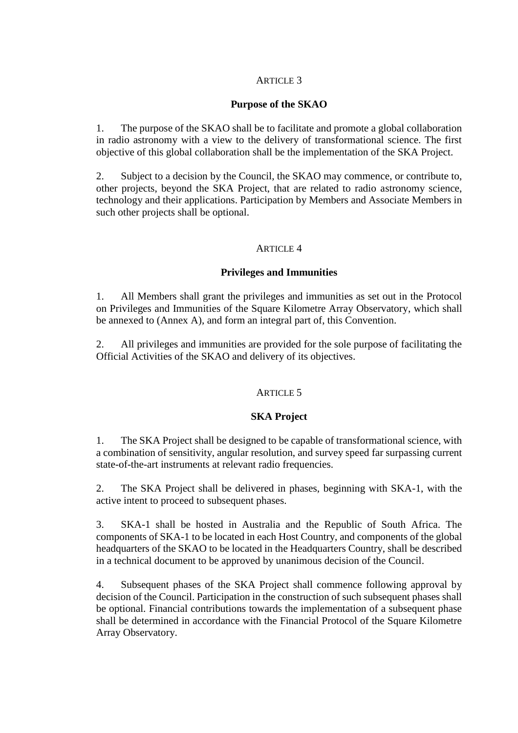# **Purpose of the SKAO**

1. The purpose of the SKAO shall be to facilitate and promote a global collaboration in radio astronomy with a view to the delivery of transformational science. The first objective of this global collaboration shall be the implementation of the SKA Project.

2. Subject to a decision by the Council, the SKAO may commence, or contribute to, other projects, beyond the SKA Project, that are related to radio astronomy science, technology and their applications. Participation by Members and Associate Members in such other projects shall be optional.

#### ARTICLE 4

#### **Privileges and Immunities**

1. All Members shall grant the privileges and immunities as set out in the Protocol on Privileges and Immunities of the Square Kilometre Array Observatory, which shall be annexed to (Annex A), and form an integral part of, this Convention.

2. All privileges and immunities are provided for the sole purpose of facilitating the Official Activities of the SKAO and delivery of its objectives.

## ARTICLE 5

## **SKA Project**

1. The SKA Project shall be designed to be capable of transformational science, with a combination of sensitivity, angular resolution, and survey speed far surpassing current state-of-the-art instruments at relevant radio frequencies.

2. The SKA Project shall be delivered in phases, beginning with SKA-1, with the active intent to proceed to subsequent phases.

3. SKA-1 shall be hosted in Australia and the Republic of South Africa. The components of SKA-1 to be located in each Host Country, and components of the global headquarters of the SKAO to be located in the Headquarters Country, shall be described in a technical document to be approved by unanimous decision of the Council.

4. Subsequent phases of the SKA Project shall commence following approval by decision of the Council. Participation in the construction of such subsequent phases shall be optional. Financial contributions towards the implementation of a subsequent phase shall be determined in accordance with the Financial Protocol of the Square Kilometre Array Observatory.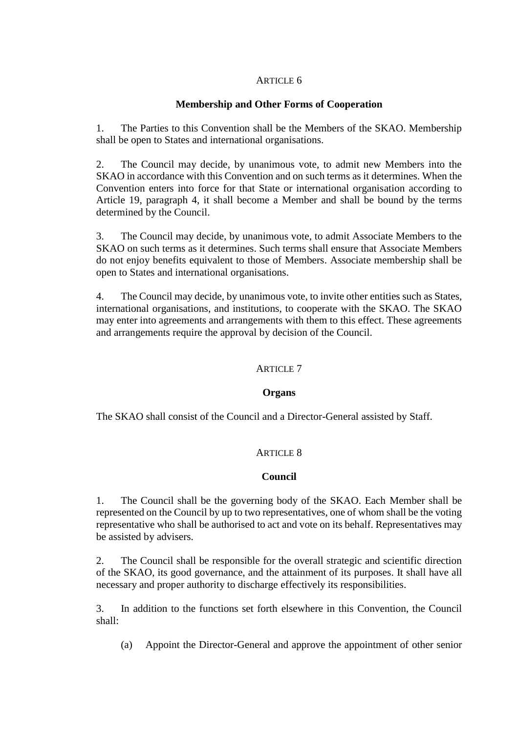# **Membership and Other Forms of Cooperation**

1. The Parties to this Convention shall be the Members of the SKAO. Membership shall be open to States and international organisations.

2. The Council may decide, by unanimous vote, to admit new Members into the SKAO in accordance with this Convention and on such terms as it determines. When the Convention enters into force for that State or international organisation according to Article 19, paragraph 4, it shall become a Member and shall be bound by the terms determined by the Council.

3. The Council may decide, by unanimous vote, to admit Associate Members to the SKAO on such terms as it determines. Such terms shall ensure that Associate Members do not enjoy benefits equivalent to those of Members. Associate membership shall be open to States and international organisations.

4. The Council may decide, by unanimous vote, to invite other entities such as States, international organisations, and institutions, to cooperate with the SKAO. The SKAO may enter into agreements and arrangements with them to this effect. These agreements and arrangements require the approval by decision of the Council.

# ARTICLE 7

## **Organs**

The SKAO shall consist of the Council and a Director-General assisted by Staff.

## ARTICLE 8

## **Council**

1. The Council shall be the governing body of the SKAO. Each Member shall be represented on the Council by up to two representatives, one of whom shall be the voting representative who shall be authorised to act and vote on its behalf. Representatives may be assisted by advisers.

2. The Council shall be responsible for the overall strategic and scientific direction of the SKAO, its good governance, and the attainment of its purposes. It shall have all necessary and proper authority to discharge effectively its responsibilities.

3. In addition to the functions set forth elsewhere in this Convention, the Council shall:

(a) Appoint the Director-General and approve the appointment of other senior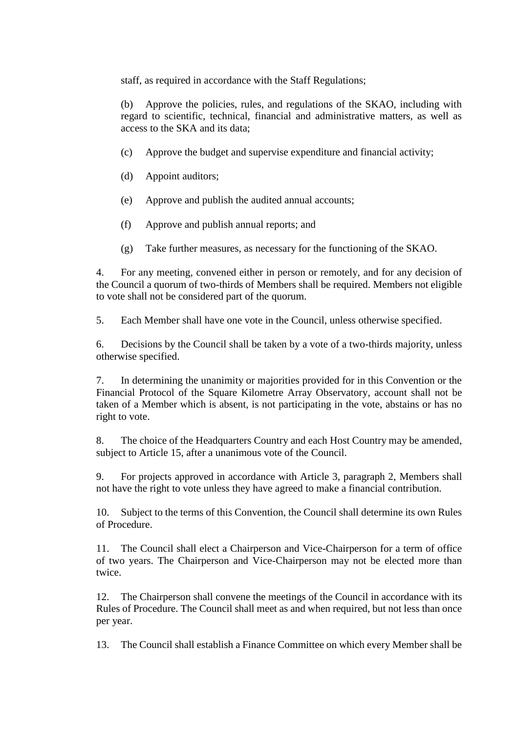staff, as required in accordance with the Staff Regulations;

(b) Approve the policies, rules, and regulations of the SKAO, including with regard to scientific, technical, financial and administrative matters, as well as access to the SKA and its data;

- (c) Approve the budget and supervise expenditure and financial activity;
- (d) Appoint auditors;
- (e) Approve and publish the audited annual accounts;
- (f) Approve and publish annual reports; and
- (g) Take further measures, as necessary for the functioning of the SKAO.

4. For any meeting, convened either in person or remotely, and for any decision of the Council a quorum of two-thirds of Members shall be required. Members not eligible to vote shall not be considered part of the quorum.

5. Each Member shall have one vote in the Council, unless otherwise specified.

6. Decisions by the Council shall be taken by a vote of a two-thirds majority, unless otherwise specified.

7. In determining the unanimity or majorities provided for in this Convention or the Financial Protocol of the Square Kilometre Array Observatory, account shall not be taken of a Member which is absent, is not participating in the vote, abstains or has no right to vote.

8. The choice of the Headquarters Country and each Host Country may be amended, subject to Article 15, after a unanimous vote of the Council.

9. For projects approved in accordance with Article 3, paragraph 2, Members shall not have the right to vote unless they have agreed to make a financial contribution.

10. Subject to the terms of this Convention, the Council shall determine its own Rules of Procedure.

11. The Council shall elect a Chairperson and Vice-Chairperson for a term of office of two years. The Chairperson and Vice-Chairperson may not be elected more than twice.

12. The Chairperson shall convene the meetings of the Council in accordance with its Rules of Procedure. The Council shall meet as and when required, but not less than once per year.

13. The Council shall establish a Finance Committee on which every Member shall be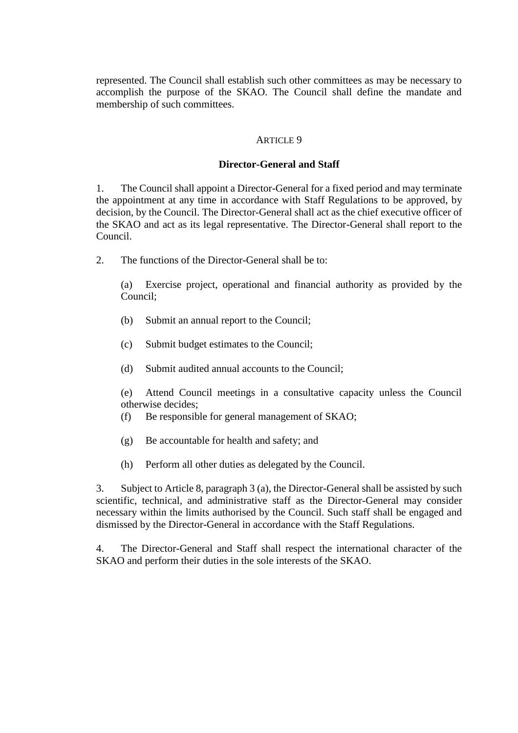represented. The Council shall establish such other committees as may be necessary to accomplish the purpose of the SKAO. The Council shall define the mandate and membership of such committees.

#### ARTICLE 9

#### **Director-General and Staff**

1. The Council shall appoint a Director-General for a fixed period and may terminate the appointment at any time in accordance with Staff Regulations to be approved, by decision, by the Council. The Director-General shall act as the chief executive officer of the SKAO and act as its legal representative. The Director-General shall report to the Council.

2. The functions of the Director-General shall be to:

(a) Exercise project, operational and financial authority as provided by the Council;

- (b) Submit an annual report to the Council;
- (c) Submit budget estimates to the Council;
- (d) Submit audited annual accounts to the Council;

(e) Attend Council meetings in a consultative capacity unless the Council otherwise decides;

- (f) Be responsible for general management of SKAO;
- (g) Be accountable for health and safety; and
- (h) Perform all other duties as delegated by the Council.

3. Subject to Article 8, paragraph 3 (a), the Director-General shall be assisted by such scientific, technical, and administrative staff as the Director-General may consider necessary within the limits authorised by the Council. Such staff shall be engaged and dismissed by the Director-General in accordance with the Staff Regulations.

4. The Director-General and Staff shall respect the international character of the SKAO and perform their duties in the sole interests of the SKAO.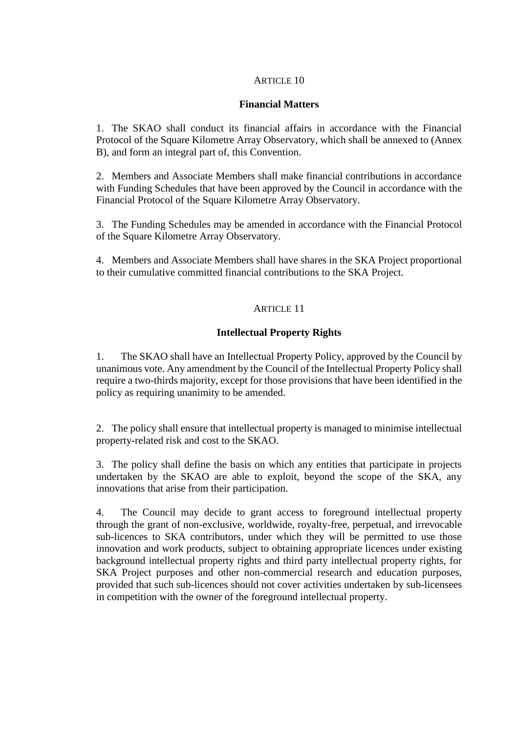# **Financial Matters**

1. The SKAO shall conduct its financial affairs in accordance with the Financial Protocol of the Square Kilometre Array Observatory, which shall be annexed to (Annex B), and form an integral part of, this Convention.

2. Members and Associate Members shall make financial contributions in accordance with Funding Schedules that have been approved by the Council in accordance with the Financial Protocol of the Square Kilometre Array Observatory.

3. The Funding Schedules may be amended in accordance with the Financial Protocol of the Square Kilometre Array Observatory.

4. Members and Associate Members shall have shares in the SKA Project proportional to their cumulative committed financial contributions to the SKA Project.

# ARTICLE 11

# **Intellectual Property Rights**

1. The SKAO shall have an Intellectual Property Policy, approved by the Council by unanimous vote. Any amendment by the Council of the Intellectual Property Policy shall require a two-thirds majority, except for those provisions that have been identified in the policy as requiring unanimity to be amended.

2. The policy shall ensure that intellectual property is managed to minimise intellectual property-related risk and cost to the SKAO.

3. The policy shall define the basis on which any entities that participate in projects undertaken by the SKAO are able to exploit, beyond the scope of the SKA, any innovations that arise from their participation.

4. The Council may decide to grant access to foreground intellectual property through the grant of non-exclusive, worldwide, royalty-free, perpetual, and irrevocable sub-licences to SKA contributors, under which they will be permitted to use those innovation and work products, subject to obtaining appropriate licences under existing background intellectual property rights and third party intellectual property rights, for SKA Project purposes and other non-commercial research and education purposes, provided that such sub-licences should not cover activities undertaken by sub-licensees in competition with the owner of the foreground intellectual property.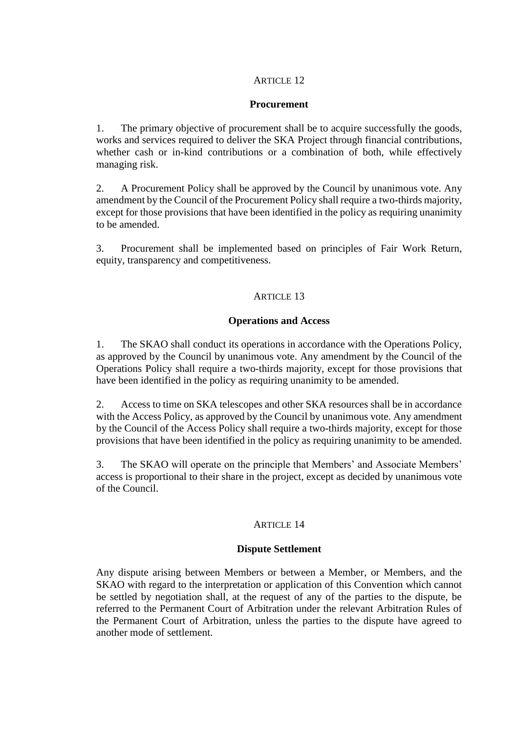# **Procurement**

1. The primary objective of procurement shall be to acquire successfully the goods, works and services required to deliver the SKA Project through financial contributions, whether cash or in-kind contributions or a combination of both, while effectively managing risk.

2. A Procurement Policy shall be approved by the Council by unanimous vote. Any amendment by the Council of the Procurement Policy shall require a two-thirds majority, except for those provisions that have been identified in the policy as requiring unanimity to be amended.

3. Procurement shall be implemented based on principles of Fair Work Return, equity, transparency and competitiveness.

# **ARTICLE 13**

# **Operations and Access**

1. The SKAO shall conduct its operations in accordance with the Operations Policy, as approved by the Council by unanimous vote. Any amendment by the Council of the Operations Policy shall require a two-thirds majority, except for those provisions that have been identified in the policy as requiring unanimity to be amended.

2. Access to time on SKA telescopes and other SKA resources shall be in accordance with the Access Policy, as approved by the Council by unanimous vote. Any amendment by the Council of the Access Policy shall require a two-thirds majority, except for those provisions that have been identified in the policy as requiring unanimity to be amended.

3. The SKAO will operate on the principle that Members' and Associate Members' access is proportional to their share in the project, except as decided by unanimous vote of the Council.

## ARTICLE 14

## **Dispute Settlement**

Any dispute arising between Members or between a Member, or Members, and the SKAO with regard to the interpretation or application of this Convention which cannot be settled by negotiation shall, at the request of any of the parties to the dispute, be referred to the Permanent Court of Arbitration under the relevant Arbitration Rules of the Permanent Court of Arbitration, unless the parties to the dispute have agreed to another mode of settlement.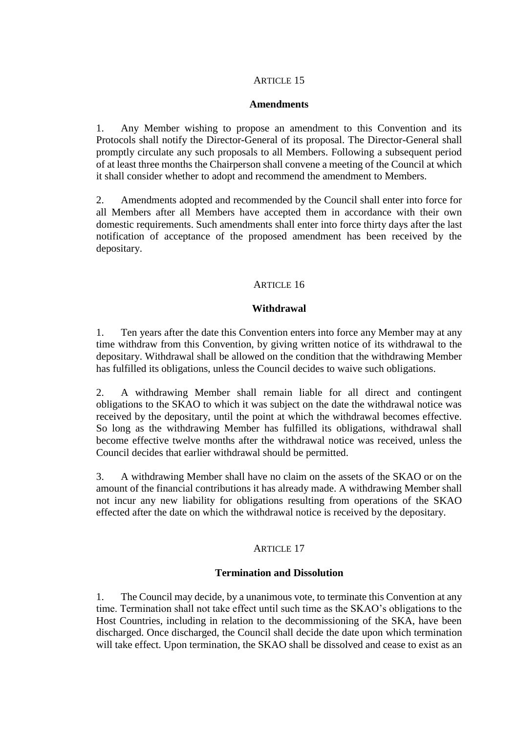#### **Amendments**

1. Any Member wishing to propose an amendment to this Convention and its Protocols shall notify the Director-General of its proposal. The Director-General shall promptly circulate any such proposals to all Members. Following a subsequent period of at least three months the Chairperson shall convene a meeting of the Council at which it shall consider whether to adopt and recommend the amendment to Members.

2. Amendments adopted and recommended by the Council shall enter into force for all Members after all Members have accepted them in accordance with their own domestic requirements. Such amendments shall enter into force thirty days after the last notification of acceptance of the proposed amendment has been received by the depositary.

# ARTICLE 16

## **Withdrawal**

1. Ten years after the date this Convention enters into force any Member may at any time withdraw from this Convention, by giving written notice of its withdrawal to the depositary. Withdrawal shall be allowed on the condition that the withdrawing Member has fulfilled its obligations, unless the Council decides to waive such obligations.

2. A withdrawing Member shall remain liable for all direct and contingent obligations to the SKAO to which it was subject on the date the withdrawal notice was received by the depositary, until the point at which the withdrawal becomes effective. So long as the withdrawing Member has fulfilled its obligations, withdrawal shall become effective twelve months after the withdrawal notice was received, unless the Council decides that earlier withdrawal should be permitted.

3. A withdrawing Member shall have no claim on the assets of the SKAO or on the amount of the financial contributions it has already made. A withdrawing Member shall not incur any new liability for obligations resulting from operations of the SKAO effected after the date on which the withdrawal notice is received by the depositary.

## ARTICLE 17

## **Termination and Dissolution**

1. The Council may decide, by a unanimous vote, to terminate this Convention at any time. Termination shall not take effect until such time as the SKAO's obligations to the Host Countries, including in relation to the decommissioning of the SKA, have been discharged. Once discharged, the Council shall decide the date upon which termination will take effect. Upon termination, the SKAO shall be dissolved and cease to exist as an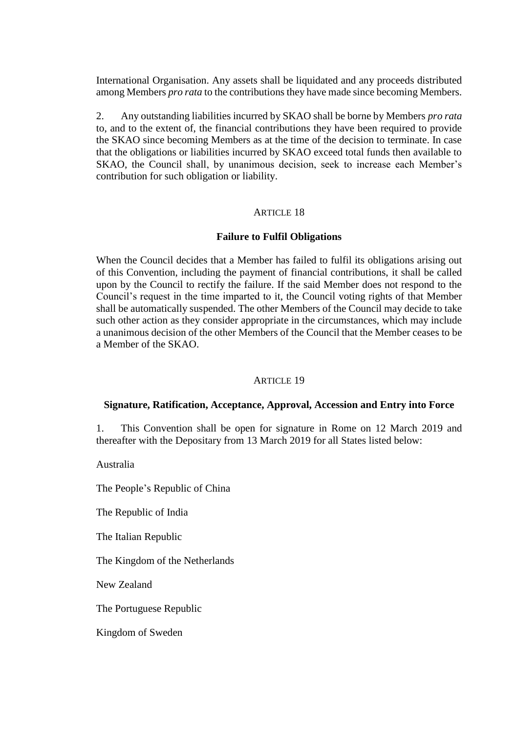International Organisation. Any assets shall be liquidated and any proceeds distributed among Members *pro rata* to the contributions they have made since becoming Members.

2. Any outstanding liabilities incurred by SKAO shall be borne by Members *pro rata* to, and to the extent of, the financial contributions they have been required to provide the SKAO since becoming Members as at the time of the decision to terminate. In case that the obligations or liabilities incurred by SKAO exceed total funds then available to SKAO, the Council shall, by unanimous decision, seek to increase each Member's contribution for such obligation or liability.

#### ARTICLE 18

#### **Failure to Fulfil Obligations**

When the Council decides that a Member has failed to fulfil its obligations arising out of this Convention, including the payment of financial contributions, it shall be called upon by the Council to rectify the failure. If the said Member does not respond to the Council's request in the time imparted to it, the Council voting rights of that Member shall be automatically suspended. The other Members of the Council may decide to take such other action as they consider appropriate in the circumstances, which may include a unanimous decision of the other Members of the Council that the Member ceases to be a Member of the SKAO.

#### ARTICLE 19

#### **Signature, Ratification, Acceptance, Approval, Accession and Entry into Force**

1. This Convention shall be open for signature in Rome on 12 March 2019 and thereafter with the Depositary from 13 March 2019 for all States listed below:

Australia

The People's Republic of China

The Republic of India

The Italian Republic

The Kingdom of the Netherlands

New Zealand

The Portuguese Republic

Kingdom of Sweden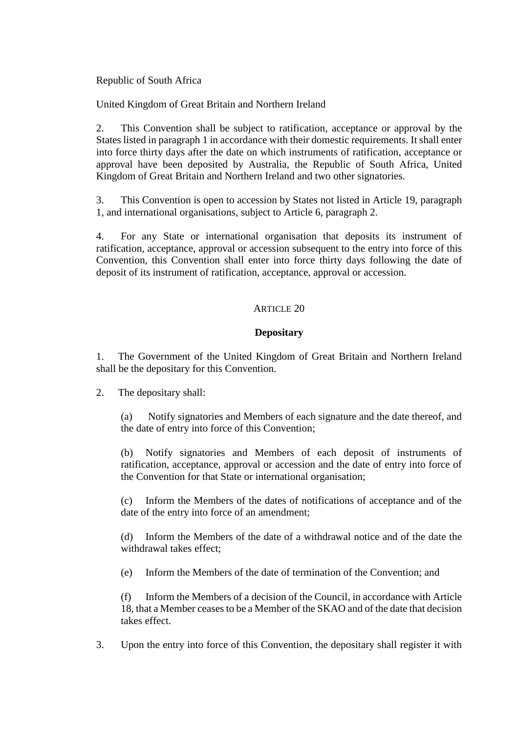Republic of South Africa

United Kingdom of Great Britain and Northern Ireland

2. This Convention shall be subject to ratification, acceptance or approval by the States listed in paragraph 1 in accordance with their domestic requirements. It shall enter into force thirty days after the date on which instruments of ratification, acceptance or approval have been deposited by Australia, the Republic of South Africa, United Kingdom of Great Britain and Northern Ireland and two other signatories.

3. This Convention is open to accession by States not listed in Article 19, paragraph 1, and international organisations, subject to Article 6, paragraph 2.

4. For any State or international organisation that deposits its instrument of ratification, acceptance, approval or accession subsequent to the entry into force of this Convention, this Convention shall enter into force thirty days following the date of deposit of its instrument of ratification, acceptance, approval or accession.

# ARTICLE 20

# **Depositary**

1. The Government of the United Kingdom of Great Britain and Northern Ireland shall be the depositary for this Convention.

2. The depositary shall:

(a) Notify signatories and Members of each signature and the date thereof, and the date of entry into force of this Convention;

(b) Notify signatories and Members of each deposit of instruments of ratification, acceptance, approval or accession and the date of entry into force of the Convention for that State or international organisation;

(c) Inform the Members of the dates of notifications of acceptance and of the date of the entry into force of an amendment;

(d) Inform the Members of the date of a withdrawal notice and of the date the withdrawal takes effect;

(e) Inform the Members of the date of termination of the Convention; and

(f) Inform the Members of a decision of the Council, in accordance with Article 18, that a Member ceases to be a Member of the SKAO and of the date that decision takes effect.

3. Upon the entry into force of this Convention, the depositary shall register it with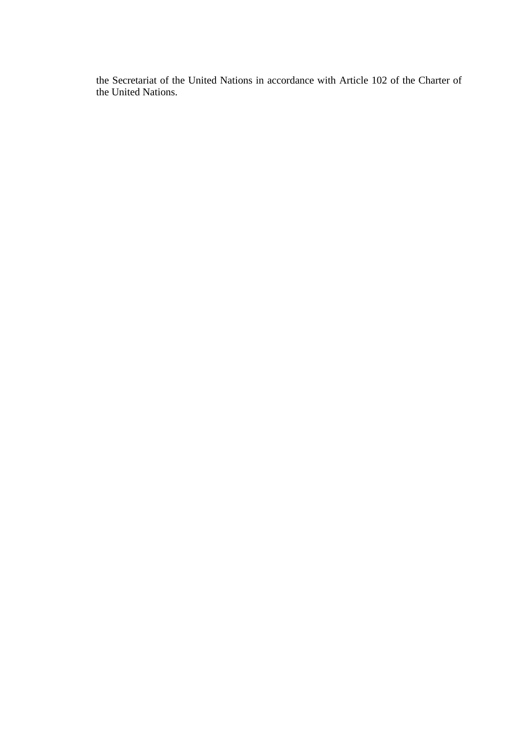the Secretariat of the United Nations in accordance with Article 102 of the Charter of the United Nations.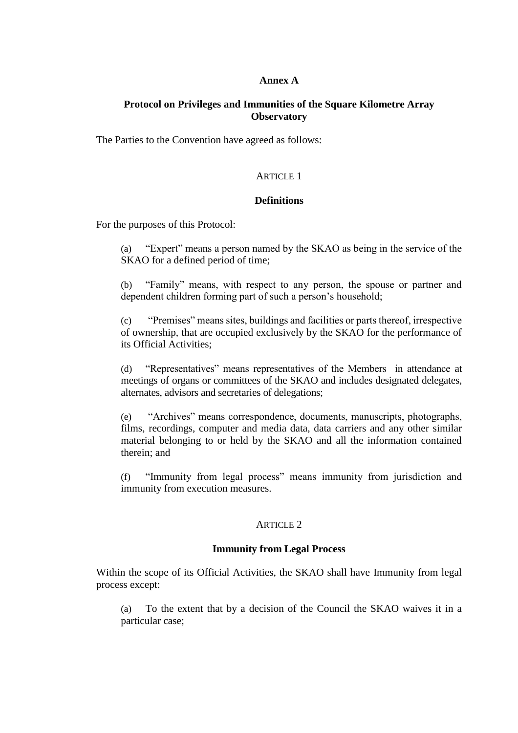#### **Annex A**

# **Protocol on Privileges and Immunities of the Square Kilometre Array Observatory**

The Parties to the Convention have agreed as follows:

#### ARTICLE 1

#### **Definitions**

For the purposes of this Protocol:

(a) "Expert" means a person named by the SKAO as being in the service of the SKAO for a defined period of time;

(b) "Family" means, with respect to any person, the spouse or partner and dependent children forming part of such a person's household;

(c) "Premises" means sites, buildings and facilities or parts thereof, irrespective of ownership, that are occupied exclusively by the SKAO for the performance of its Official Activities;

(d) "Representatives" means representatives of the Members in attendance at meetings of organs or committees of the SKAO and includes designated delegates, alternates, advisors and secretaries of delegations;

(e) "Archives" means correspondence, documents, manuscripts, photographs, films, recordings, computer and media data, data carriers and any other similar material belonging to or held by the SKAO and all the information contained therein; and

(f) "Immunity from legal process" means immunity from jurisdiction and immunity from execution measures.

#### ARTICLE 2

#### **Immunity from Legal Process**

Within the scope of its Official Activities, the SKAO shall have Immunity from legal process except:

(a) To the extent that by a decision of the Council the SKAO waives it in a particular case;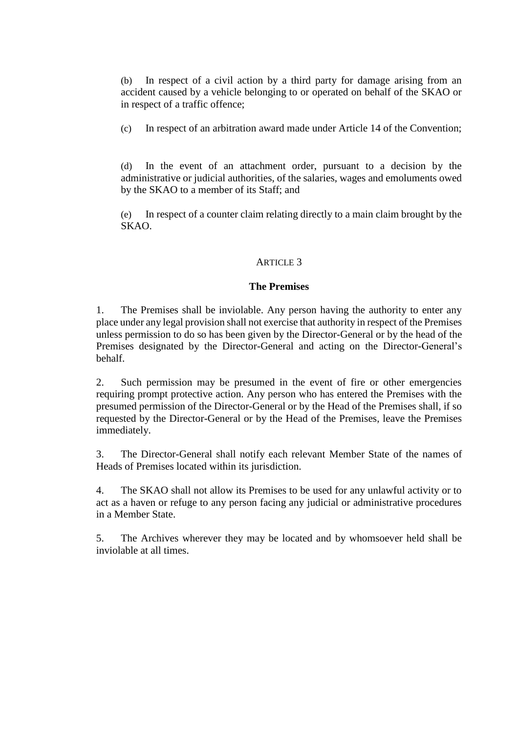(b) In respect of a civil action by a third party for damage arising from an accident caused by a vehicle belonging to or operated on behalf of the SKAO or in respect of a traffic offence;

(c) In respect of an arbitration award made under Article 14 of the Convention;

(d) In the event of an attachment order, pursuant to a decision by the administrative or judicial authorities, of the salaries, wages and emoluments owed by the SKAO to a member of its Staff; and

(e) In respect of a counter claim relating directly to a main claim brought by the SKAO.

## ARTICLE 3

#### **The Premises**

1. The Premises shall be inviolable. Any person having the authority to enter any place under any legal provision shall not exercise that authority in respect of the Premises unless permission to do so has been given by the Director-General or by the head of the Premises designated by the Director-General and acting on the Director-General's behalf.

2. Such permission may be presumed in the event of fire or other emergencies requiring prompt protective action. Any person who has entered the Premises with the presumed permission of the Director-General or by the Head of the Premises shall, if so requested by the Director-General or by the Head of the Premises, leave the Premises immediately.

3. The Director-General shall notify each relevant Member State of the names of Heads of Premises located within its jurisdiction.

4. The SKAO shall not allow its Premises to be used for any unlawful activity or to act as a haven or refuge to any person facing any judicial or administrative procedures in a Member State.

5. The Archives wherever they may be located and by whomsoever held shall be inviolable at all times.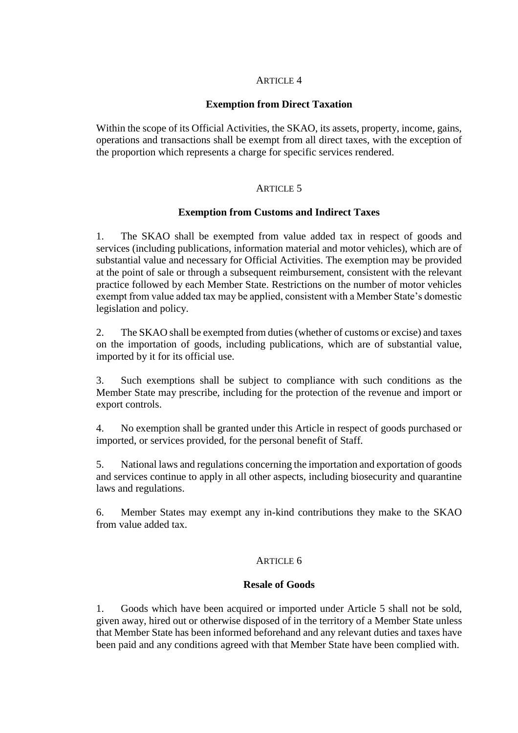## **Exemption from Direct Taxation**

Within the scope of its Official Activities, the SKAO, its assets, property, income, gains, operations and transactions shall be exempt from all direct taxes, with the exception of the proportion which represents a charge for specific services rendered.

## ARTICLE 5

## **Exemption from Customs and Indirect Taxes**

1. The SKAO shall be exempted from value added tax in respect of goods and services (including publications, information material and motor vehicles), which are of substantial value and necessary for Official Activities. The exemption may be provided at the point of sale or through a subsequent reimbursement, consistent with the relevant practice followed by each Member State. Restrictions on the number of motor vehicles exempt from value added tax may be applied, consistent with a Member State's domestic legislation and policy.

2. The SKAO shall be exempted from duties (whether of customs or excise) and taxes on the importation of goods, including publications, which are of substantial value, imported by it for its official use.

3. Such exemptions shall be subject to compliance with such conditions as the Member State may prescribe, including for the protection of the revenue and import or export controls.

4. No exemption shall be granted under this Article in respect of goods purchased or imported, or services provided, for the personal benefit of Staff.

5. National laws and regulations concerning the importation and exportation of goods and services continue to apply in all other aspects, including biosecurity and quarantine laws and regulations.

6. Member States may exempt any in-kind contributions they make to the SKAO from value added tax.

#### ARTICLE 6

#### **Resale of Goods**

1. Goods which have been acquired or imported under Article 5 shall not be sold, given away, hired out or otherwise disposed of in the territory of a Member State unless that Member State has been informed beforehand and any relevant duties and taxes have been paid and any conditions agreed with that Member State have been complied with.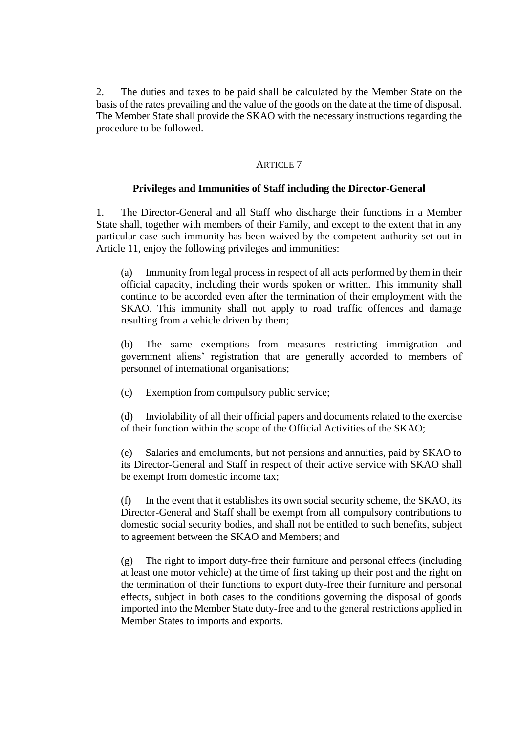2. The duties and taxes to be paid shall be calculated by the Member State on the basis of the rates prevailing and the value of the goods on the date at the time of disposal. The Member State shall provide the SKAO with the necessary instructions regarding the procedure to be followed.

## ARTICLE 7

# **Privileges and Immunities of Staff including the Director-General**

1. The Director-General and all Staff who discharge their functions in a Member State shall, together with members of their Family, and except to the extent that in any particular case such immunity has been waived by the competent authority set out in Article 11, enjoy the following privileges and immunities:

(a) Immunity from legal process in respect of all acts performed by them in their official capacity, including their words spoken or written. This immunity shall continue to be accorded even after the termination of their employment with the SKAO. This immunity shall not apply to road traffic offences and damage resulting from a vehicle driven by them;

(b) The same exemptions from measures restricting immigration and government aliens' registration that are generally accorded to members of personnel of international organisations;

(c) Exemption from compulsory public service;

(d) Inviolability of all their official papers and documents related to the exercise of their function within the scope of the Official Activities of the SKAO;

(e) Salaries and emoluments, but not pensions and annuities, paid by SKAO to its Director-General and Staff in respect of their active service with SKAO shall be exempt from domestic income tax;

(f) In the event that it establishes its own social security scheme, the SKAO, its Director-General and Staff shall be exempt from all compulsory contributions to domestic social security bodies, and shall not be entitled to such benefits, subject to agreement between the SKAO and Members; and

(g) The right to import duty-free their furniture and personal effects (including at least one motor vehicle) at the time of first taking up their post and the right on the termination of their functions to export duty-free their furniture and personal effects, subject in both cases to the conditions governing the disposal of goods imported into the Member State duty-free and to the general restrictions applied in Member States to imports and exports.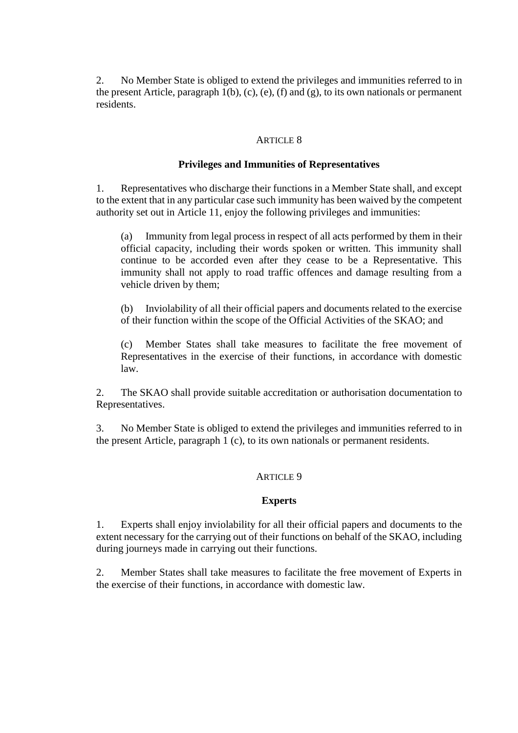2. No Member State is obliged to extend the privileges and immunities referred to in the present Article, paragraph  $1(b)$ , (c), (e), (f) and (g), to its own nationals or permanent residents.

#### ARTICLE 8

## **Privileges and Immunities of Representatives**

1. Representatives who discharge their functions in a Member State shall, and except to the extent that in any particular case such immunity has been waived by the competent authority set out in Article 11, enjoy the following privileges and immunities:

(a) Immunity from legal process in respect of all acts performed by them in their official capacity, including their words spoken or written. This immunity shall continue to be accorded even after they cease to be a Representative. This immunity shall not apply to road traffic offences and damage resulting from a vehicle driven by them;

(b) Inviolability of all their official papers and documents related to the exercise of their function within the scope of the Official Activities of the SKAO; and

(c) Member States shall take measures to facilitate the free movement of Representatives in the exercise of their functions, in accordance with domestic law.

2. The SKAO shall provide suitable accreditation or authorisation documentation to Representatives.

3. No Member State is obliged to extend the privileges and immunities referred to in the present Article, paragraph 1 (c), to its own nationals or permanent residents.

#### ARTICLE 9

#### **Experts**

1. Experts shall enjoy inviolability for all their official papers and documents to the extent necessary for the carrying out of their functions on behalf of the SKAO, including during journeys made in carrying out their functions.

2. Member States shall take measures to facilitate the free movement of Experts in the exercise of their functions, in accordance with domestic law.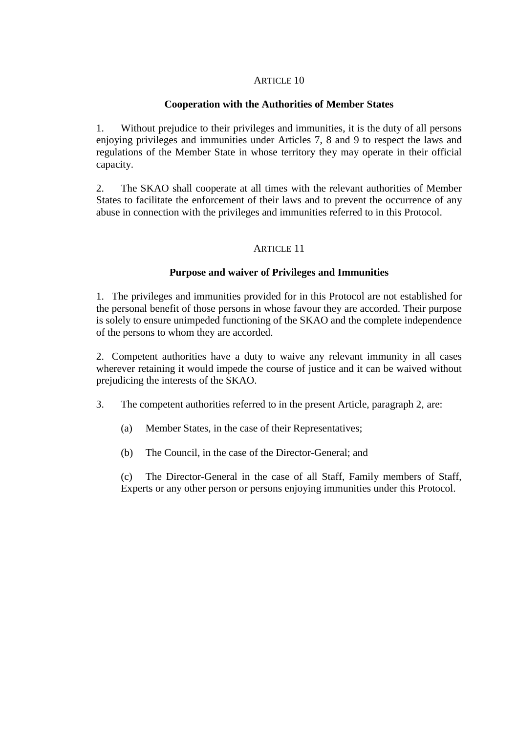# **Cooperation with the Authorities of Member States**

1. Without prejudice to their privileges and immunities, it is the duty of all persons enjoying privileges and immunities under Articles 7, 8 and 9 to respect the laws and regulations of the Member State in whose territory they may operate in their official capacity.

2. The SKAO shall cooperate at all times with the relevant authorities of Member States to facilitate the enforcement of their laws and to prevent the occurrence of any abuse in connection with the privileges and immunities referred to in this Protocol.

## ARTICLE 11

## **Purpose and waiver of Privileges and Immunities**

1. The privileges and immunities provided for in this Protocol are not established for the personal benefit of those persons in whose favour they are accorded. Their purpose is solely to ensure unimpeded functioning of the SKAO and the complete independence of the persons to whom they are accorded.

2. Competent authorities have a duty to waive any relevant immunity in all cases wherever retaining it would impede the course of justice and it can be waived without prejudicing the interests of the SKAO.

3. The competent authorities referred to in the present Article, paragraph 2, are:

- (a) Member States, in the case of their Representatives;
- (b) The Council, in the case of the Director-General; and

(c) The Director-General in the case of all Staff, Family members of Staff, Experts or any other person or persons enjoying immunities under this Protocol.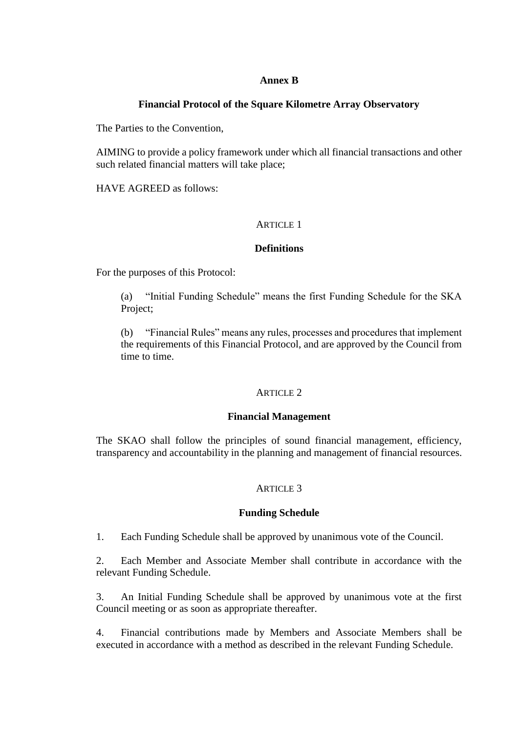## **Annex B**

# **Financial Protocol of the Square Kilometre Array Observatory**

The Parties to the Convention,

AIMING to provide a policy framework under which all financial transactions and other such related financial matters will take place;

HAVE AGREED as follows:

# ARTICLE 1

## **Definitions**

For the purposes of this Protocol:

(a) "Initial Funding Schedule" means the first Funding Schedule for the SKA Project;

(b) "Financial Rules" means any rules, processes and procedures that implement the requirements of this Financial Protocol, and are approved by the Council from time to time.

## ARTICLE 2

## **Financial Management**

The SKAO shall follow the principles of sound financial management, efficiency, transparency and accountability in the planning and management of financial resources.

#### ARTICLE 3

## **Funding Schedule**

1. Each Funding Schedule shall be approved by unanimous vote of the Council.

2. Each Member and Associate Member shall contribute in accordance with the relevant Funding Schedule.

3. An Initial Funding Schedule shall be approved by unanimous vote at the first Council meeting or as soon as appropriate thereafter.

4. Financial contributions made by Members and Associate Members shall be executed in accordance with a method as described in the relevant Funding Schedule.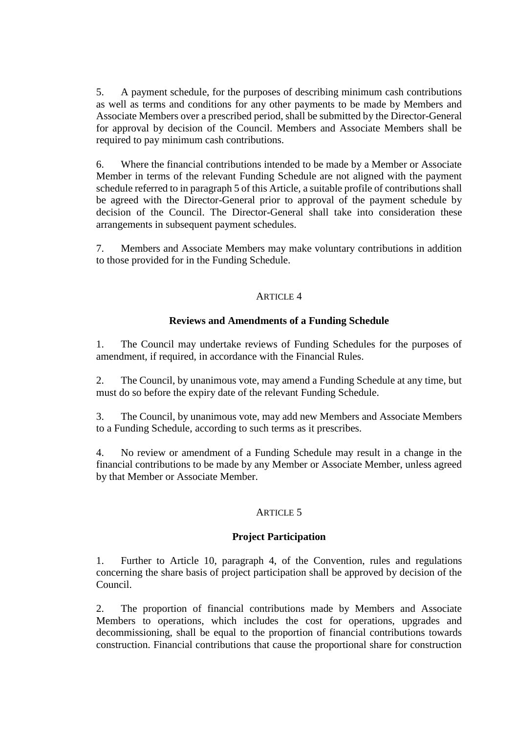5. A payment schedule, for the purposes of describing minimum cash contributions as well as terms and conditions for any other payments to be made by Members and Associate Members over a prescribed period, shall be submitted by the Director-General for approval by decision of the Council. Members and Associate Members shall be required to pay minimum cash contributions.

6. Where the financial contributions intended to be made by a Member or Associate Member in terms of the relevant Funding Schedule are not aligned with the payment schedule referred to in paragraph 5 of this Article, a suitable profile of contributions shall be agreed with the Director-General prior to approval of the payment schedule by decision of the Council. The Director-General shall take into consideration these arrangements in subsequent payment schedules.

7. Members and Associate Members may make voluntary contributions in addition to those provided for in the Funding Schedule.

#### ARTICLE 4

## **Reviews and Amendments of a Funding Schedule**

1. The Council may undertake reviews of Funding Schedules for the purposes of amendment, if required, in accordance with the Financial Rules.

2. The Council, by unanimous vote, may amend a Funding Schedule at any time, but must do so before the expiry date of the relevant Funding Schedule.

3. The Council, by unanimous vote, may add new Members and Associate Members to a Funding Schedule, according to such terms as it prescribes.

4. No review or amendment of a Funding Schedule may result in a change in the financial contributions to be made by any Member or Associate Member, unless agreed by that Member or Associate Member.

## ARTICLE 5

## **Project Participation**

1. Further to Article 10, paragraph 4, of the Convention, rules and regulations concerning the share basis of project participation shall be approved by decision of the Council.

2. The proportion of financial contributions made by Members and Associate Members to operations, which includes the cost for operations, upgrades and decommissioning, shall be equal to the proportion of financial contributions towards construction. Financial contributions that cause the proportional share for construction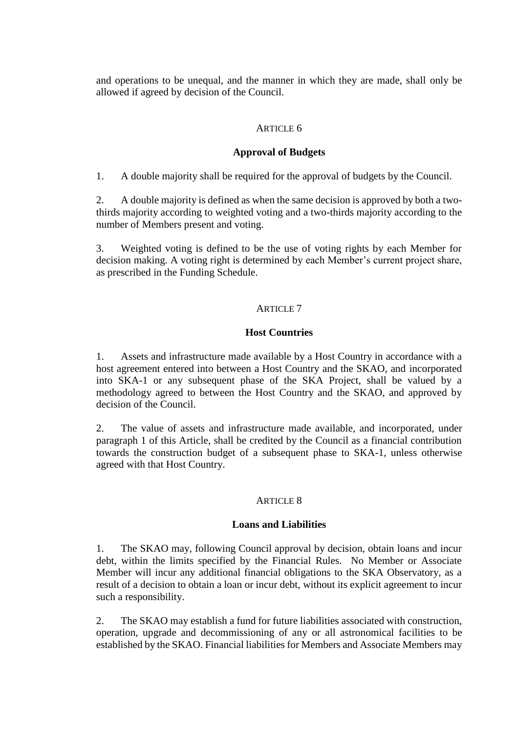and operations to be unequal, and the manner in which they are made, shall only be allowed if agreed by decision of the Council.

#### ARTICLE 6

#### **Approval of Budgets**

1. A double majority shall be required for the approval of budgets by the Council.

2. A double majority is defined as when the same decision is approved by both a twothirds majority according to weighted voting and a two-thirds majority according to the number of Members present and voting.

3. Weighted voting is defined to be the use of voting rights by each Member for decision making. A voting right is determined by each Member's current project share, as prescribed in the Funding Schedule.

## ARTICLE 7

#### **Host Countries**

1. Assets and infrastructure made available by a Host Country in accordance with a host agreement entered into between a Host Country and the SKAO, and incorporated into SKA-1 or any subsequent phase of the SKA Project, shall be valued by a methodology agreed to between the Host Country and the SKAO, and approved by decision of the Council.

2. The value of assets and infrastructure made available, and incorporated, under paragraph 1 of this Article, shall be credited by the Council as a financial contribution towards the construction budget of a subsequent phase to SKA-1, unless otherwise agreed with that Host Country.

#### ARTICLE 8

#### **Loans and Liabilities**

1. The SKAO may, following Council approval by decision, obtain loans and incur debt, within the limits specified by the Financial Rules. No Member or Associate Member will incur any additional financial obligations to the SKA Observatory, as a result of a decision to obtain a loan or incur debt, without its explicit agreement to incur such a responsibility.

2. The SKAO may establish a fund for future liabilities associated with construction, operation, upgrade and decommissioning of any or all astronomical facilities to be established by the SKAO. Financial liabilities for Members and Associate Members may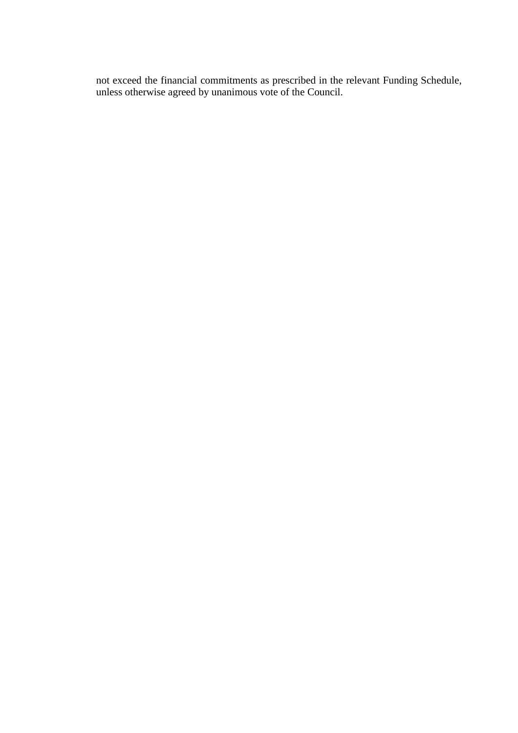not exceed the financial commitments as prescribed in the relevant Funding Schedule, unless otherwise agreed by unanimous vote of the Council.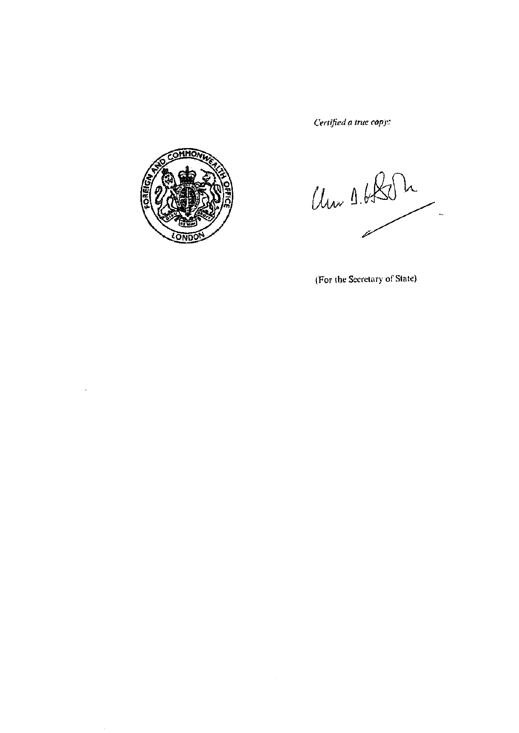Certified a true copy:



÷,

Um 1.6804  $\overline{a}$ 

(For the Secretary of State)

 $\mathcal{A}$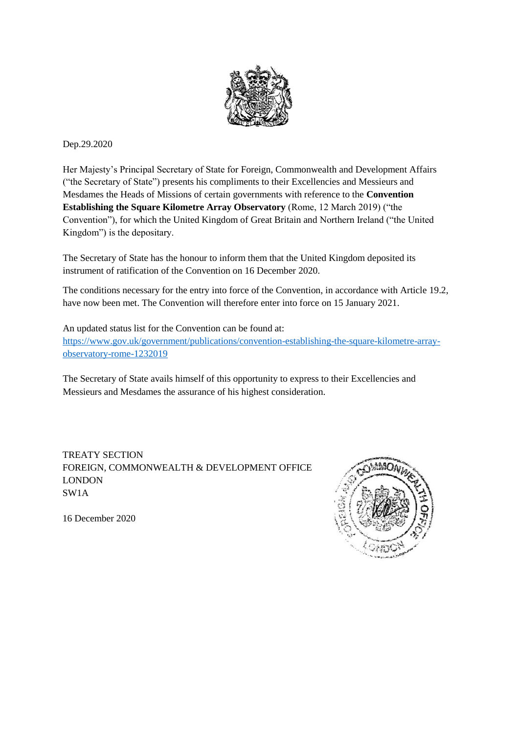

# Dep.29.2020

Her Majesty's Principal Secretary of State for Foreign, Commonwealth and Development Affairs ("the Secretary of State") presents his compliments to their Excellencies and Messieurs and Mesdames the Heads of Missions of certain governments with reference to the **Convention Establishing the Square Kilometre Array Observatory** (Rome, 12 March 2019) ("the Convention"), for which the United Kingdom of Great Britain and Northern Ireland ("the United Kingdom") is the depositary.

The Secretary of State has the honour to inform them that the United Kingdom deposited its instrument of ratification of the Convention on 16 December 2020.

The conditions necessary for the entry into force of the Convention, in accordance with Article 19.2, have now been met. The Convention will therefore enter into force on 15 January 2021.

An updated status list for the Convention can be found at: [https://www.gov.uk/government/publications/convention-establishing-the-square-kilometre-array](https://www.gov.uk/government/publications/convention-establishing-the-square-kilometre-array-observatory-rome-1232019)[observatory-rome-1232019](https://www.gov.uk/government/publications/convention-establishing-the-square-kilometre-array-observatory-rome-1232019)

The Secretary of State avails himself of this opportunity to express to their Excellencies and Messieurs and Mesdames the assurance of his highest consideration.

TREATY SECTION FOREIGN, COMMONWEALTH & DEVELOPMENT OFFICE LONDON SW1A



16 December 2020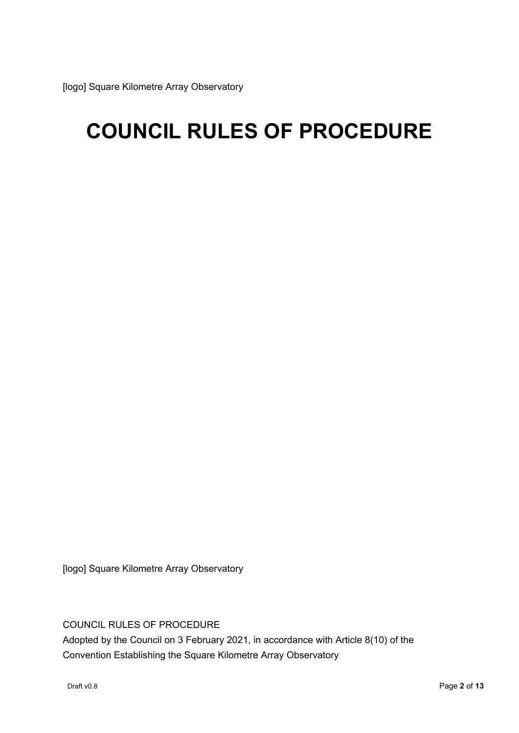# **COUNCIL RULES OF PROCEDURE**

[logo] Square Kilometre Array Observatory

COUNCIL RULES OF PROCEDURE

Adopted by the Council on 3 February 2021, in accordance with Article 8(10) of the Convention Establishing the Square Kilometre Array Observatory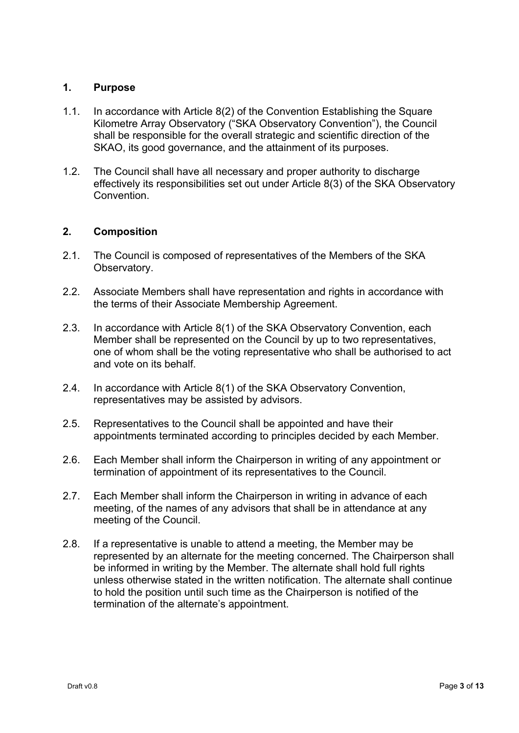# **1. Purpose**

- 1.1. In accordance with Article 8(2) of the Convention Establishing the Square Kilometre Array Observatory ("SKA Observatory Convention"), the Council shall be responsible for the overall strategic and scientific direction of the SKAO, its good governance, and the attainment of its purposes.
- 1.2. The Council shall have all necessary and proper authority to discharge effectively its responsibilities set out under Article 8(3) of the SKA Observatory Convention.

# **2. Composition**

- 2.1. The Council is composed of representatives of the Members of the SKA Observatory.
- 2.2. Associate Members shall have representation and rights in accordance with the terms of their Associate Membership Agreement.
- 2.3. In accordance with Article 8(1) of the SKA Observatory Convention, each Member shall be represented on the Council by up to two representatives, one of whom shall be the voting representative who shall be authorised to act and vote on its behalf.
- 2.4. In accordance with Article 8(1) of the SKA Observatory Convention, representatives may be assisted by advisors.
- 2.5. Representatives to the Council shall be appointed and have their appointments terminated according to principles decided by each Member.
- 2.6. Each Member shall inform the Chairperson in writing of any appointment or termination of appointment of its representatives to the Council.
- 2.7. Each Member shall inform the Chairperson in writing in advance of each meeting, of the names of any advisors that shall be in attendance at any meeting of the Council.
- 2.8. If a representative is unable to attend a meeting, the Member may be represented by an alternate for the meeting concerned. The Chairperson shall be informed in writing by the Member. The alternate shall hold full rights unless otherwise stated in the written notification. The alternate shall continue to hold the position until such time as the Chairperson is notified of the termination of the alternate's appointment.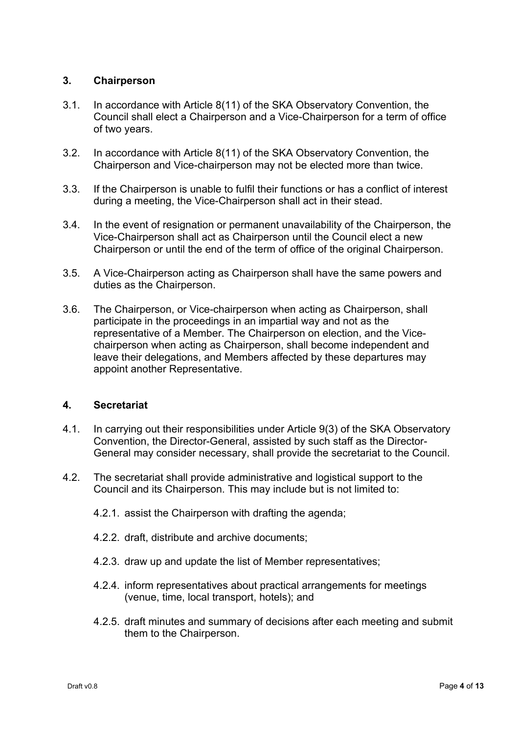# **3. Chairperson**

- 3.1. In accordance with Article 8(11) of the SKA Observatory Convention, the Council shall elect a Chairperson and a Vice-Chairperson for a term of office of two years.
- 3.2. In accordance with Article 8(11) of the SKA Observatory Convention, the Chairperson and Vice-chairperson may not be elected more than twice.
- 3.3. If the Chairperson is unable to fulfil their functions or has a conflict of interest during a meeting, the Vice-Chairperson shall act in their stead.
- 3.4. In the event of resignation or permanent unavailability of the Chairperson, the Vice-Chairperson shall act as Chairperson until the Council elect a new Chairperson or until the end of the term of office of the original Chairperson.
- 3.5. A Vice-Chairperson acting as Chairperson shall have the same powers and duties as the Chairperson.
- 3.6. The Chairperson, or Vice-chairperson when acting as Chairperson, shall participate in the proceedings in an impartial way and not as the representative of a Member. The Chairperson on election, and the Vicechairperson when acting as Chairperson, shall become independent and leave their delegations, and Members affected by these departures may appoint another Representative.

# **4. Secretariat**

- 4.1. In carrying out their responsibilities under Article 9(3) of the SKA Observatory Convention, the Director-General, assisted by such staff as the Director-General may consider necessary, shall provide the secretariat to the Council.
- 4.2. The secretariat shall provide administrative and logistical support to the Council and its Chairperson. This may include but is not limited to:
	- 4.2.1. assist the Chairperson with drafting the agenda;
	- 4.2.2. draft, distribute and archive documents;
	- 4.2.3. draw up and update the list of Member representatives;
	- 4.2.4. inform representatives about practical arrangements for meetings (venue, time, local transport, hotels); and
	- 4.2.5. draft minutes and summary of decisions after each meeting and submit them to the Chairperson.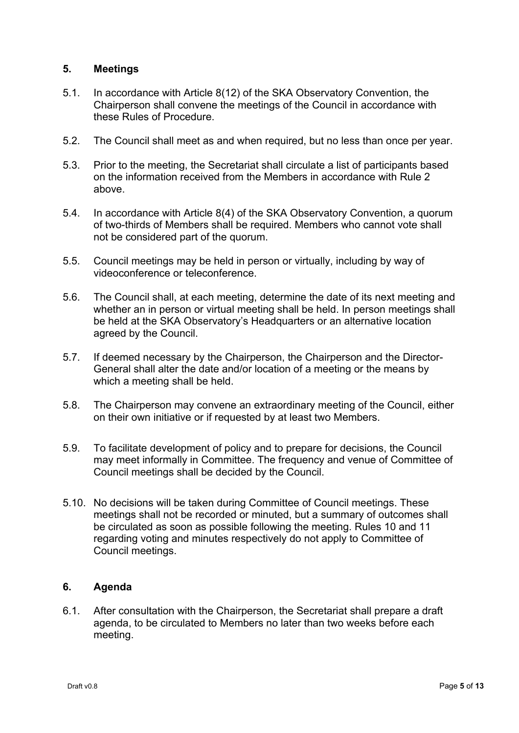# **5. Meetings**

- 5.1. In accordance with Article 8(12) of the SKA Observatory Convention, the Chairperson shall convene the meetings of the Council in accordance with these Rules of Procedure.
- 5.2. The Council shall meet as and when required, but no less than once per year.
- 5.3. Prior to the meeting, the Secretariat shall circulate a list of participants based on the information received from the Members in accordance with Rule 2 above.
- 5.4. In accordance with Article 8(4) of the SKA Observatory Convention, a quorum of two-thirds of Members shall be required. Members who cannot vote shall not be considered part of the quorum.
- 5.5. Council meetings may be held in person or virtually, including by way of videoconference or teleconference.
- 5.6. The Council shall, at each meeting, determine the date of its next meeting and whether an in person or virtual meeting shall be held. In person meetings shall be held at the SKA Observatory's Headquarters or an alternative location agreed by the Council.
- 5.7. If deemed necessary by the Chairperson, the Chairperson and the Director-General shall alter the date and/or location of a meeting or the means by which a meeting shall be held.
- 5.8. The Chairperson may convene an extraordinary meeting of the Council, either on their own initiative or if requested by at least two Members.
- 5.9. To facilitate development of policy and to prepare for decisions, the Council may meet informally in Committee. The frequency and venue of Committee of Council meetings shall be decided by the Council.
- 5.10. No decisions will be taken during Committee of Council meetings. These meetings shall not be recorded or minuted, but a summary of outcomes shall be circulated as soon as possible following the meeting. Rules 10 and 11 regarding voting and minutes respectively do not apply to Committee of Council meetings.

# **6. Agenda**

6.1. After consultation with the Chairperson, the Secretariat shall prepare a draft agenda, to be circulated to Members no later than two weeks before each meeting.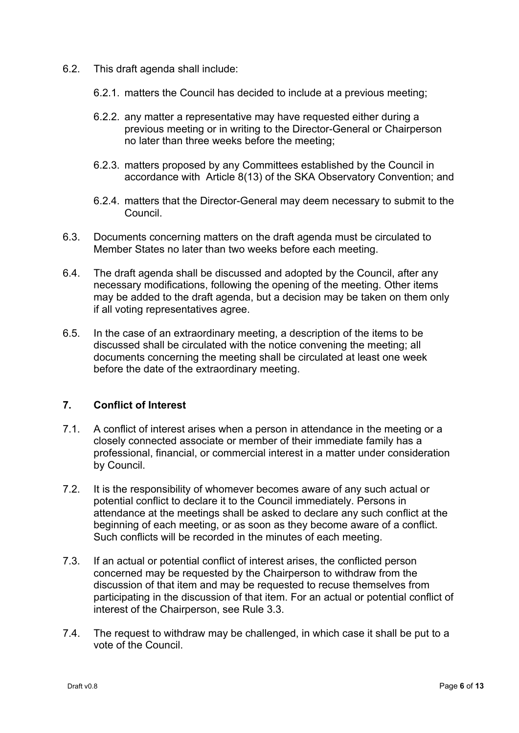- 6.2. This draft agenda shall include:
	- 6.2.1. matters the Council has decided to include at a previous meeting;
	- 6.2.2. any matter a representative may have requested either during a previous meeting or in writing to the Director-General or Chairperson no later than three weeks before the meeting;
	- 6.2.3. matters proposed by any Committees established by the Council in accordance with Article 8(13) of the SKA Observatory Convention; and
	- 6.2.4. matters that the Director-General may deem necessary to submit to the Council.
- 6.3. Documents concerning matters on the draft agenda must be circulated to Member States no later than two weeks before each meeting.
- 6.4. The draft agenda shall be discussed and adopted by the Council, after any necessary modifications, following the opening of the meeting. Other items may be added to the draft agenda, but a decision may be taken on them only if all voting representatives agree.
- 6.5. In the case of an extraordinary meeting, a description of the items to be discussed shall be circulated with the notice convening the meeting; all documents concerning the meeting shall be circulated at least one week before the date of the extraordinary meeting.

# **7. Conflict of Interest**

- 7.1. A conflict of interest arises when a person in attendance in the meeting or a closely connected associate or member of their immediate family has a professional, financial, or commercial interest in a matter under consideration by Council.
- 7.2. It is the responsibility of whomever becomes aware of any such actual or potential conflict to declare it to the Council immediately. Persons in attendance at the meetings shall be asked to declare any such conflict at the beginning of each meeting, or as soon as they become aware of a conflict. Such conflicts will be recorded in the minutes of each meeting.
- 7.3. If an actual or potential conflict of interest arises, the conflicted person concerned may be requested by the Chairperson to withdraw from the discussion of that item and may be requested to recuse themselves from participating in the discussion of that item. For an actual or potential conflict of interest of the Chairperson, see Rule 3.3.
- 7.4. The request to withdraw may be challenged, in which case it shall be put to a vote of the Council.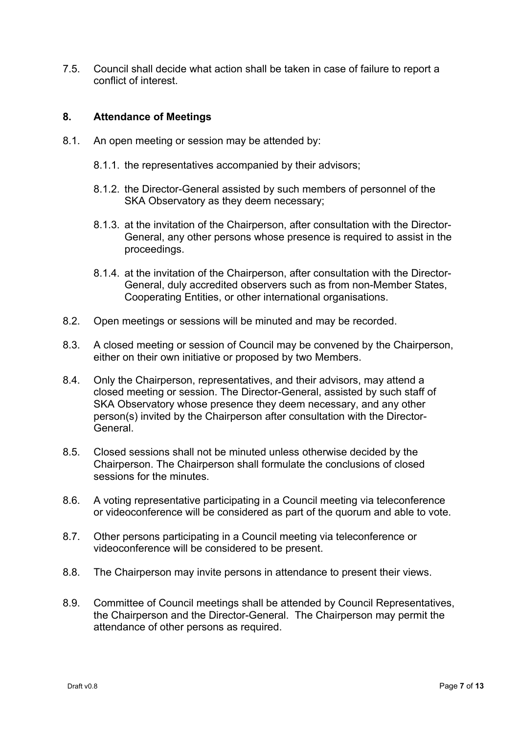7.5. Council shall decide what action shall be taken in case of failure to report a conflict of interest.

# **8. Attendance of Meetings**

- 8.1. An open meeting or session may be attended by:
	- 8.1.1. the representatives accompanied by their advisors;
	- 8.1.2. the Director-General assisted by such members of personnel of the SKA Observatory as they deem necessary;
	- 8.1.3. at the invitation of the Chairperson, after consultation with the Director-General, any other persons whose presence is required to assist in the proceedings.
	- 8.1.4. at the invitation of the Chairperson, after consultation with the Director-General, duly accredited observers such as from non-Member States, Cooperating Entities, or other international organisations.
- 8.2. Open meetings or sessions will be minuted and may be recorded.
- 8.3. A closed meeting or session of Council may be convened by the Chairperson, either on their own initiative or proposed by two Members.
- 8.4. Only the Chairperson, representatives, and their advisors, may attend a closed meeting or session. The Director-General, assisted by such staff of SKA Observatory whose presence they deem necessary, and any other person(s) invited by the Chairperson after consultation with the Director-General.
- 8.5. Closed sessions shall not be minuted unless otherwise decided by the Chairperson. The Chairperson shall formulate the conclusions of closed sessions for the minutes.
- 8.6. A voting representative participating in a Council meeting via teleconference or videoconference will be considered as part of the quorum and able to vote.
- 8.7. Other persons participating in a Council meeting via teleconference or videoconference will be considered to be present.
- 8.8. The Chairperson may invite persons in attendance to present their views.
- 8.9. Committee of Council meetings shall be attended by Council Representatives, the Chairperson and the Director-General. The Chairperson may permit the attendance of other persons as required.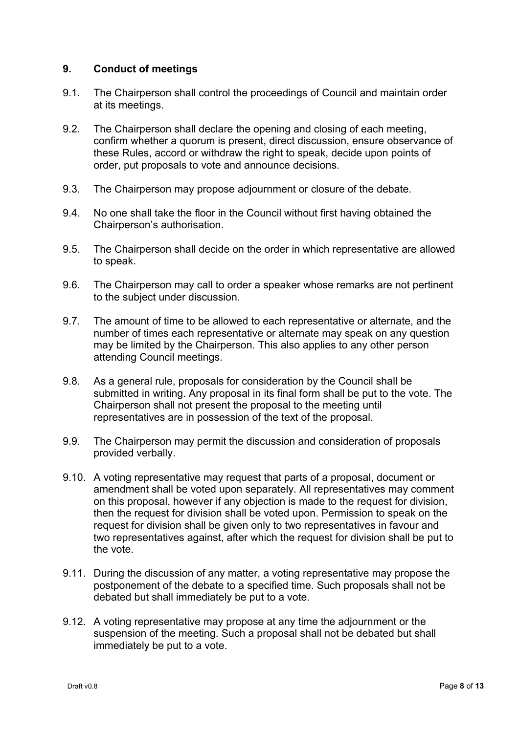# **9. Conduct of meetings**

- 9.1. The Chairperson shall control the proceedings of Council and maintain order at its meetings.
- 9.2. The Chairperson shall declare the opening and closing of each meeting, confirm whether a quorum is present, direct discussion, ensure observance of these Rules, accord or withdraw the right to speak, decide upon points of order, put proposals to vote and announce decisions.
- 9.3. The Chairperson may propose adjournment or closure of the debate.
- 9.4. No one shall take the floor in the Council without first having obtained the Chairperson's authorisation.
- 9.5. The Chairperson shall decide on the order in which representative are allowed to speak.
- 9.6. The Chairperson may call to order a speaker whose remarks are not pertinent to the subject under discussion.
- 9.7. The amount of time to be allowed to each representative or alternate, and the number of times each representative or alternate may speak on any question may be limited by the Chairperson. This also applies to any other person attending Council meetings.
- 9.8. As a general rule, proposals for consideration by the Council shall be submitted in writing. Any proposal in its final form shall be put to the vote. The Chairperson shall not present the proposal to the meeting until representatives are in possession of the text of the proposal.
- 9.9. The Chairperson may permit the discussion and consideration of proposals provided verbally.
- 9.10. A voting representative may request that parts of a proposal, document or amendment shall be voted upon separately. All representatives may comment on this proposal, however if any objection is made to the request for division, then the request for division shall be voted upon. Permission to speak on the request for division shall be given only to two representatives in favour and two representatives against, after which the request for division shall be put to the vote.
- 9.11. During the discussion of any matter, a voting representative may propose the postponement of the debate to a specified time. Such proposals shall not be debated but shall immediately be put to a vote.
- 9.12. A voting representative may propose at any time the adjournment or the suspension of the meeting. Such a proposal shall not be debated but shall immediately be put to a vote.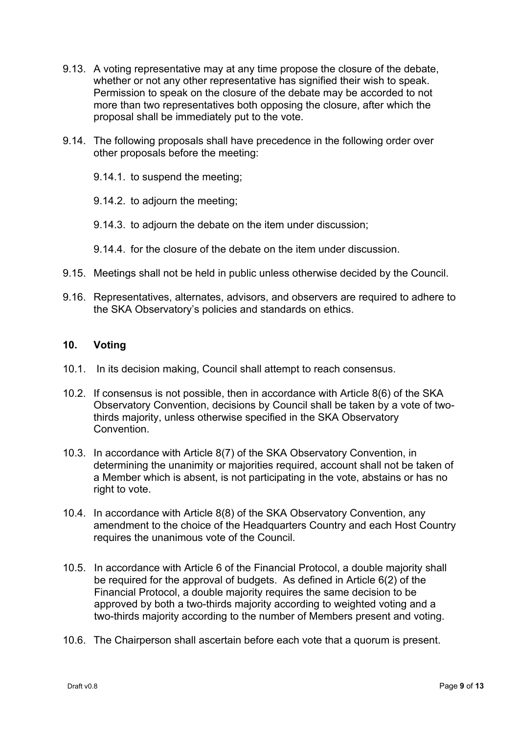- 9.13. A voting representative may at any time propose the closure of the debate, whether or not any other representative has signified their wish to speak. Permission to speak on the closure of the debate may be accorded to not more than two representatives both opposing the closure, after which the proposal shall be immediately put to the vote.
- 9.14. The following proposals shall have precedence in the following order over other proposals before the meeting:
	- 9.14.1. to suspend the meeting;
	- 9.14.2. to adjourn the meeting;
	- 9.14.3. to adjourn the debate on the item under discussion;
	- 9.14.4. for the closure of the debate on the item under discussion.
- 9.15. Meetings shall not be held in public unless otherwise decided by the Council.
- 9.16. Representatives, alternates, advisors, and observers are required to adhere to the SKA Observatory's policies and standards on ethics.

#### **10. Voting**

- 10.1. In its decision making, Council shall attempt to reach consensus.
- 10.2. If consensus is not possible, then in accordance with Article 8(6) of the SKA Observatory Convention, decisions by Council shall be taken by a vote of twothirds majority, unless otherwise specified in the SKA Observatory **Convention**
- 10.3. In accordance with Article 8(7) of the SKA Observatory Convention, in determining the unanimity or majorities required, account shall not be taken of a Member which is absent, is not participating in the vote, abstains or has no right to vote.
- 10.4. In accordance with Article 8(8) of the SKA Observatory Convention, any amendment to the choice of the Headquarters Country and each Host Country requires the unanimous vote of the Council.
- 10.5. In accordance with Article 6 of the Financial Protocol, a double majority shall be required for the approval of budgets. As defined in Article 6(2) of the Financial Protocol, a double majority requires the same decision to be approved by both a two-thirds majority according to weighted voting and a two-thirds majority according to the number of Members present and voting.
- 10.6. The Chairperson shall ascertain before each vote that a quorum is present.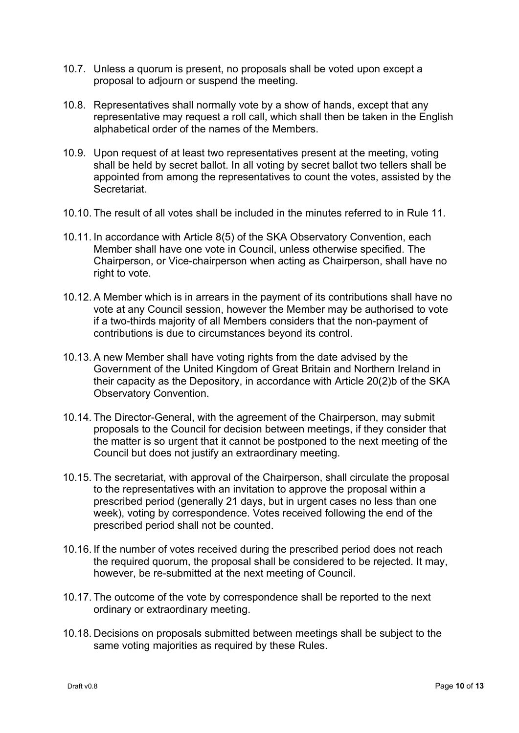- 10.7. Unless a quorum is present, no proposals shall be voted upon except a proposal to adjourn or suspend the meeting.
- 10.8. Representatives shall normally vote by a show of hands, except that any representative may request a roll call, which shall then be taken in the English alphabetical order of the names of the Members.
- 10.9. Upon request of at least two representatives present at the meeting, voting shall be held by secret ballot. In all voting by secret ballot two tellers shall be appointed from among the representatives to count the votes, assisted by the **Secretariat**
- 10.10. The result of all votes shall be included in the minutes referred to in Rule 11.
- 10.11. In accordance with Article 8(5) of the SKA Observatory Convention, each Member shall have one vote in Council, unless otherwise specified. The Chairperson, or Vice-chairperson when acting as Chairperson, shall have no right to vote.
- 10.12. A Member which is in arrears in the payment of its contributions shall have no vote at any Council session, however the Member may be authorised to vote if a two-thirds majority of all Members considers that the non-payment of contributions is due to circumstances beyond its control.
- 10.13. A new Member shall have voting rights from the date advised by the Government of the United Kingdom of Great Britain and Northern Ireland in their capacity as the Depository, in accordance with Article 20(2)b of the SKA Observatory Convention.
- 10.14. The Director-General, with the agreement of the Chairperson, may submit proposals to the Council for decision between meetings, if they consider that the matter is so urgent that it cannot be postponed to the next meeting of the Council but does not justify an extraordinary meeting.
- 10.15. The secretariat, with approval of the Chairperson, shall circulate the proposal to the representatives with an invitation to approve the proposal within a prescribed period (generally 21 days, but in urgent cases no less than one week), voting by correspondence. Votes received following the end of the prescribed period shall not be counted.
- 10.16. If the number of votes received during the prescribed period does not reach the required quorum, the proposal shall be considered to be rejected. It may, however, be re-submitted at the next meeting of Council.
- 10.17. The outcome of the vote by correspondence shall be reported to the next ordinary or extraordinary meeting.
- 10.18. Decisions on proposals submitted between meetings shall be subject to the same voting majorities as required by these Rules.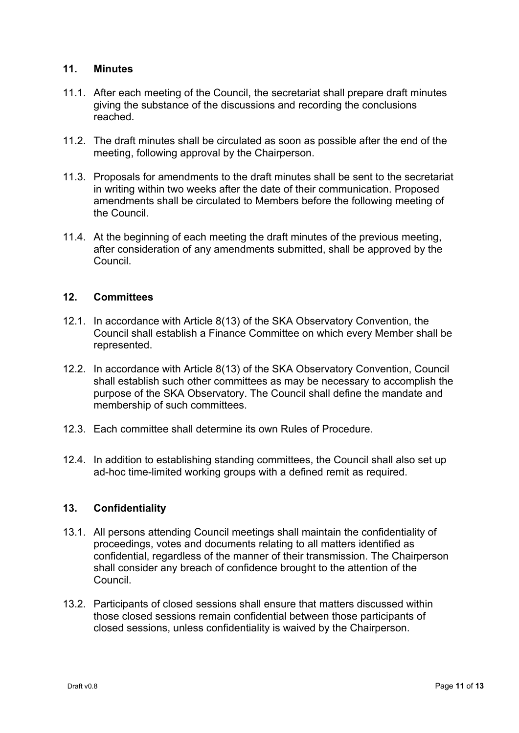# **11. Minutes**

- 11.1. After each meeting of the Council, the secretariat shall prepare draft minutes giving the substance of the discussions and recording the conclusions reached.
- 11.2. The draft minutes shall be circulated as soon as possible after the end of the meeting, following approval by the Chairperson.
- 11.3. Proposals for amendments to the draft minutes shall be sent to the secretariat in writing within two weeks after the date of their communication. Proposed amendments shall be circulated to Members before the following meeting of the Council.
- 11.4. At the beginning of each meeting the draft minutes of the previous meeting, after consideration of any amendments submitted, shall be approved by the Council.

# **12. Committees**

- 12.1. In accordance with Article 8(13) of the SKA Observatory Convention, the Council shall establish a Finance Committee on which every Member shall be represented.
- 12.2. In accordance with Article 8(13) of the SKA Observatory Convention, Council shall establish such other committees as may be necessary to accomplish the purpose of the SKA Observatory. The Council shall define the mandate and membership of such committees.
- 12.3. Each committee shall determine its own Rules of Procedure.
- 12.4. In addition to establishing standing committees, the Council shall also set up ad-hoc time-limited working groups with a defined remit as required.

# **13. Confidentiality**

- 13.1. All persons attending Council meetings shall maintain the confidentiality of proceedings, votes and documents relating to all matters identified as confidential, regardless of the manner of their transmission. The Chairperson shall consider any breach of confidence brought to the attention of the Council.
- 13.2. Participants of closed sessions shall ensure that matters discussed within those closed sessions remain confidential between those participants of closed sessions, unless confidentiality is waived by the Chairperson.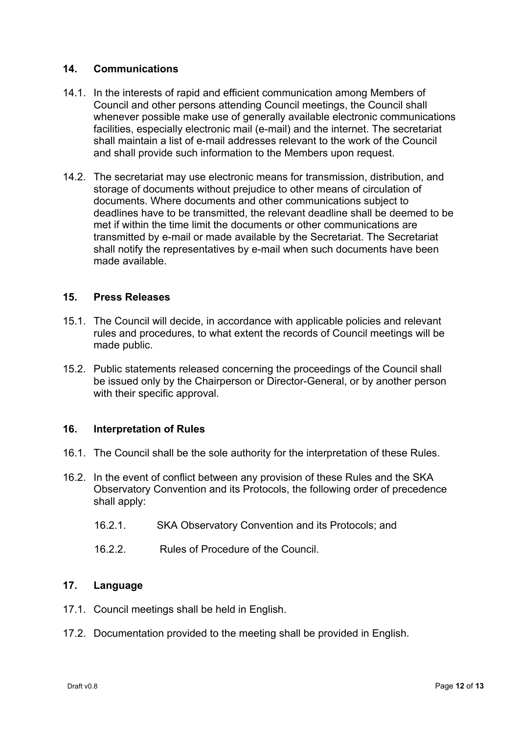# **14. Communications**

- 14.1. In the interests of rapid and efficient communication among Members of Council and other persons attending Council meetings, the Council shall whenever possible make use of generally available electronic communications facilities, especially electronic mail (e-mail) and the internet. The secretariat shall maintain a list of e-mail addresses relevant to the work of the Council and shall provide such information to the Members upon request.
- 14.2. The secretariat may use electronic means for transmission, distribution, and storage of documents without prejudice to other means of circulation of documents. Where documents and other communications subject to deadlines have to be transmitted, the relevant deadline shall be deemed to be met if within the time limit the documents or other communications are transmitted by e-mail or made available by the Secretariat. The Secretariat shall notify the representatives by e-mail when such documents have been made available.

# **15. Press Releases**

- 15.1. The Council will decide, in accordance with applicable policies and relevant rules and procedures, to what extent the records of Council meetings will be made public.
- 15.2. Public statements released concerning the proceedings of the Council shall be issued only by the Chairperson or Director-General, or by another person with their specific approval.

## **16. Interpretation of Rules**

- 16.1. The Council shall be the sole authority for the interpretation of these Rules.
- 16.2. In the event of conflict between any provision of these Rules and the SKA Observatory Convention and its Protocols, the following order of precedence shall apply:
	- 16.2.1. SKA Observatory Convention and its Protocols; and
	- 16.2.2. Rules of Procedure of the Council.

## **17. Language**

- 17.1. Council meetings shall be held in English.
- 17.2. Documentation provided to the meeting shall be provided in English.